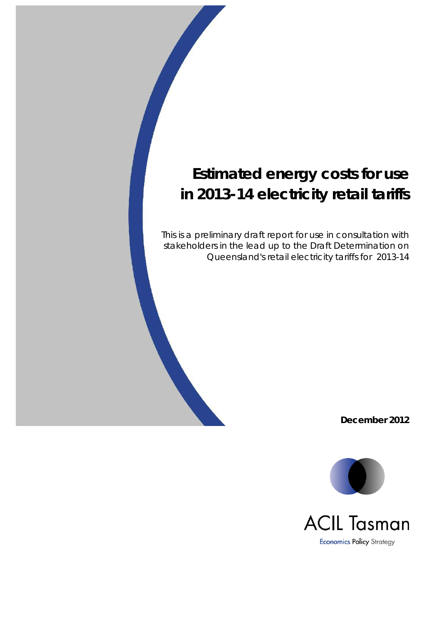This is a preliminary draft report for use in consultation with stakeholders in the lead up to the Draft Determination on Queensland's retail electricity tariffs for 2013-14

**December 2012**

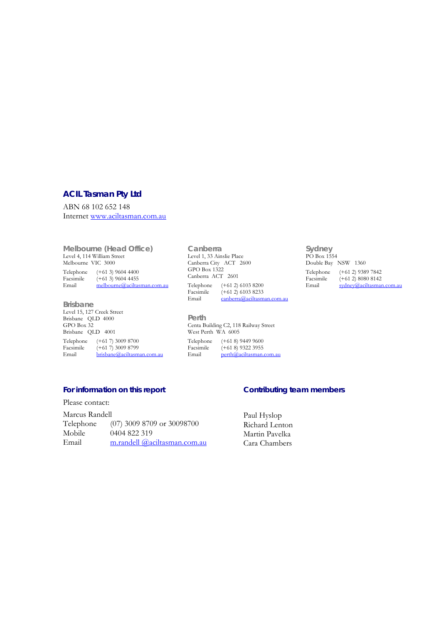### **ACIL Tasman Pty Ltd**

ABN 68 102 652 148 Internet www.aciltasman.com.au

**Melbourne (Head Office)**  Level 4, 114 William Street Melbourne VIC 3000 Telephone (+61 3) 9604 4400<br>Facsimile (+61 3) 9604 4455 Facsimile  $(+61\ 3)$  9604 4455<br>Email melbourne@aciltas melbourne@aciltasman.com.au

**Brisbane**  Level 15, 127 Creek Street Brisbane QLD 4000 GPO Box 32 Brisbane QLD 4001 Telephone (+61 7) 3009 8700<br>Facsimile (+61 7) 3009 8799 Facsimile  $(+61\ 7)$  3009 8799<br>Email brisbane@aciltasm brisbane@aciltasman.com.au

**Canberra**  Level 1, 33 Ainslie Place Canberra City ACT 2600 GPO Box 1322 Canberra ACT 2601 Telephone (+61 2) 6103 8200<br>Facsimile (+61 2) 6103 8233  $(+61\ 2)\ 6103\ 8233$ Email canberra@aciltasman.com.au

**Sydney**  PO Box 1554 Double Bay NSW 1360 Telephone (+61 2) 9389 7842<br>Facsimile (+61 2) 8080 8142 Facsimile  $(+61\ 2) 8080 8142$ <br>Email sydney@aciltasman sydney@aciltasman.com.au

**Perth**  Centa Building C2, 118 Railway Street West Perth WA 6005 Telephone (+61 8) 9449 9600<br>Facsimile (+61 8) 9322 3955 Facsimile  $(+61\ 8)$  9322 3955<br>Email perth@aciltasman. perth@aciltasman.com.au

**For information on this report** 

Please contact:

Marcus Randell Telephone (07) 3009 8709 or 30098700 Mobile 0404 822 319 Email m.randell @aciltasman.com.au

### **Contributing team members**

Paul Hyslop Richard Lenton Martin Pavelka Cara Chambers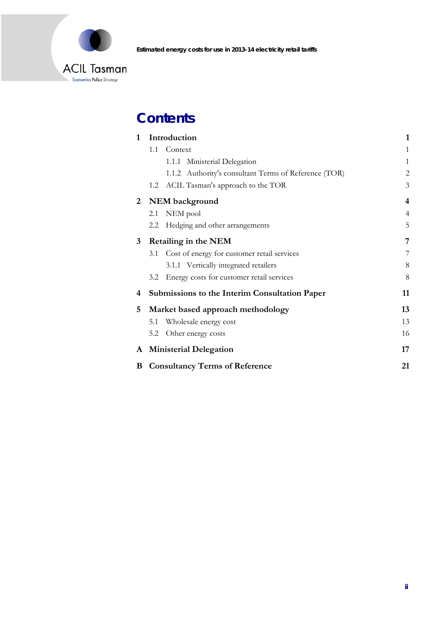

## **Contents**

| $\mathbf{1}$ | Introduction                                          | $\mathbf{1}$   |
|--------------|-------------------------------------------------------|----------------|
|              | 1.1<br>Context                                        | 1              |
|              | Ministerial Delegation<br>1.1.1                       | $\mathbf{1}$   |
|              | 1.1.2 Authority's consultant Terms of Reference (TOR) | 2              |
|              | ACIL Tasman's approach to the TOR<br>1.2              | 3              |
| 2            | NEM background                                        | $\overline{4}$ |
|              | NEM pool<br>2.1                                       | $\overline{4}$ |
|              | Hedging and other arrangements<br>2.2                 | 5              |
| 3            | <b>Retailing in the NEM</b>                           | 7              |
|              | Cost of energy for customer retail services<br>3.1    | 7              |
|              | 3.1.1 Vertically integrated retailers                 | 8              |
|              | Energy costs for customer retail services<br>3.2      | 8              |
| 4            | <b>Submissions to the Interim Consultation Paper</b>  | 11             |
| 5            | Market based approach methodology                     | 13             |
|              | Wholesale energy cost<br>5.1                          | 13             |
|              | Other energy costs<br>5.2                             | 16             |
|              | A Ministerial Delegation                              | 17             |
| B            | <b>Consultancy Terms of Reference</b>                 |                |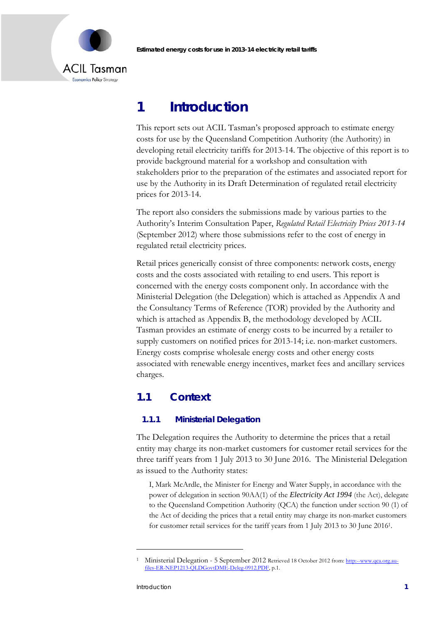

## **1 Introduction**

This report sets out ACIL Tasman's proposed approach to estimate energy costs for use by the Queensland Competition Authority (the Authority) in developing retail electricity tariffs for 2013-14. The objective of this report is to provide background material for a workshop and consultation with stakeholders prior to the preparation of the estimates and associated report for use by the Authority in its Draft Determination of regulated retail electricity prices for 2013-14.

The report also considers the submissions made by various parties to the Authority's Interim Consultation Paper, *Regulated Retail Electricity Prices 2013-14* (September 2012) where those submissions refer to the cost of energy in regulated retail electricity prices.

Retail prices generically consist of three components: network costs, energy costs and the costs associated with retailing to end users. This report is concerned with the energy costs component only. In accordance with the Ministerial Delegation (the Delegation) which is attached as Appendix A and the Consultancy Terms of Reference (TOR) provided by the Authority and which is attached as Appendix B, the methodology developed by ACIL Tasman provides an estimate of energy costs to be incurred by a retailer to supply customers on notified prices for 2013-14; i.e. non-market customers. Energy costs comprise wholesale energy costs and other energy costs associated with renewable energy incentives, market fees and ancillary services charges.

## **1.1 Context**

### **1.1.1 Ministerial Delegation**

The Delegation requires the Authority to determine the prices that a retail entity may charge its non-market customers for customer retail services for the three tariff years from 1 July 2013 to 30 June 2016. The Ministerial Delegation as issued to the Authority states:

I, Mark McArdle, the Minister for Energy and Water Supply, in accordance with the power of delegation in section 90AA(1) of the *Electricity Act 1994* (the Act), delegate to the Queensland Competition Authority (QCA) the function under section 90 (1) of the Act of deciding the prices that a retail entity may charge its non-market customers for customer retail services for the tariff years from 1 July 2013 to 30 June 20161.

<u>.</u>

<sup>&</sup>lt;sup>1</sup> Ministerial Delegation - 5 September 2012 Retrieved 18 October 2012 from: http:--www.qca.org.aufiles-ER-NEP1213-QLDGovtDME-Deleg-0912.PDF, p.1.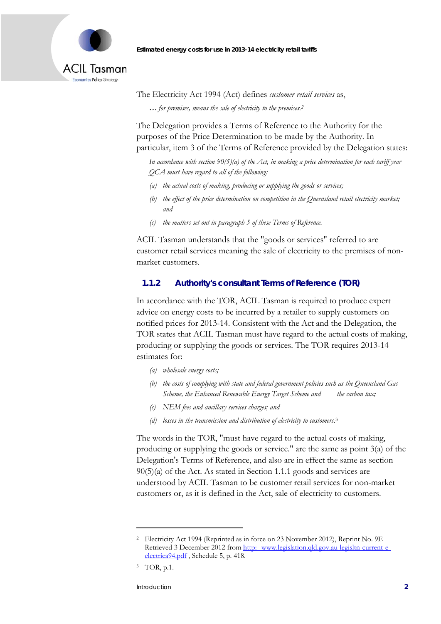

The Electricity Act 1994 (Act) defines *customer retail services* as, **…** *for premises, means the sale of electricity to the premises.2*

The Delegation provides a Terms of Reference to the Authority for the purposes of the Price Determination to be made by the Authority. In particular, item 3 of the Terms of Reference provided by the Delegation states:

*In accordance with section 90(5)(a) of the Act, in making a price determination for each tariff year QCA must have regard to all of the following:* 

- *(a) the actual costs of making, producing or supplying the goods or services;*
- *(b) the effect of the price determination on competition in the Queensland retail electricity market; and*
- *(c) the matters set out in paragraph 5 of these Terms of Reference.*

ACIL Tasman understands that the "goods or services" referred to are customer retail services meaning the sale of electricity to the premises of nonmarket customers.

### **1.1.2 Authority's consultant Terms of Reference (TOR)**

In accordance with the TOR, ACIL Tasman is required to produce expert advice on energy costs to be incurred by a retailer to supply customers on notified prices for 2013-14. Consistent with the Act and the Delegation, the TOR states that ACIL Tasman must have regard to the actual costs of making, producing or supplying the goods or services. The TOR requires 2013-14 estimates for:

- *(a) wholesale energy costs;*
- *(b) the costs of complying with state and federal government policies such as the Queensland Gas Scheme, the Enhanced Renewable Energy Target Scheme and the carbon tax;*
- *(c) NEM fees and ancillary services charges; and*
- *(d) losses in the transmission and distribution of electricity to customers.*<sup>3</sup>

The words in the TOR, "must have regard to the actual costs of making, producing or supplying the goods or service." are the same as point 3(a) of the Delegation's Terms of Reference, and also are in effect the same as section 90(5)(a) of the Act. As stated in Section 1.1.1 goods and services are understood by ACIL Tasman to be customer retail services for non-market customers or, as it is defined in the Act, sale of electricity to customers.

-

<sup>&</sup>lt;sup>2</sup> Electricity Act 1994 (Reprinted as in force on 23 November 2012), Reprint No. 9E Retrieved 3 December 2012 from http:--www.legislation.qld.gov.au-legisltn-current-eelectrica94.pdf , Schedule 5, p. 418.

<sup>3</sup> TOR, p.1.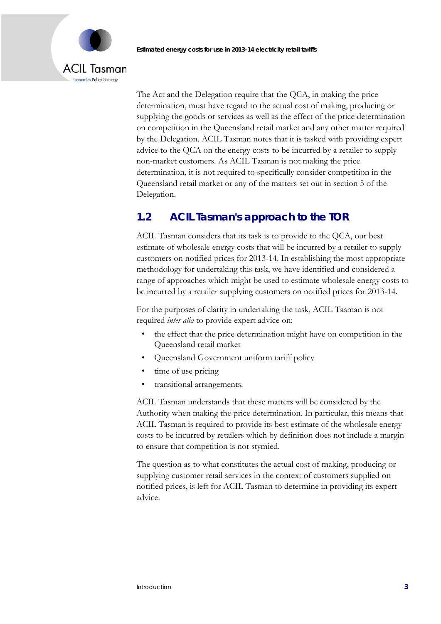# ACIL Tasman Economics Policy Strategy

The Act and the Delegation require that the QCA, in making the price determination, must have regard to the actual cost of making, producing or supplying the goods or services as well as the effect of the price determination on competition in the Queensland retail market and any other matter required by the Delegation. ACIL Tasman notes that it is tasked with providing expert advice to the QCA on the energy costs to be incurred by a retailer to supply non-market customers. As ACIL Tasman is not making the price determination, it is not required to specifically consider competition in the Queensland retail market or any of the matters set out in section 5 of the Delegation.

## **1.2 ACIL Tasman's approach to the TOR**

ACIL Tasman considers that its task is to provide to the QCA, our best estimate of wholesale energy costs that will be incurred by a retailer to supply customers on notified prices for 2013-14. In establishing the most appropriate methodology for undertaking this task, we have identified and considered a range of approaches which might be used to estimate wholesale energy costs to be incurred by a retailer supplying customers on notified prices for 2013-14.

For the purposes of clarity in undertaking the task, ACIL Tasman is not required *inter alia* to provide expert advice on:

- the effect that the price determination might have on competition in the Queensland retail market
- Queensland Government uniform tariff policy
- time of use pricing
- transitional arrangements.

ACIL Tasman understands that these matters will be considered by the Authority when making the price determination. In particular, this means that ACIL Tasman is required to provide its best estimate of the wholesale energy costs to be incurred by retailers which by definition does not include a margin to ensure that competition is not stymied.

The question as to what constitutes the actual cost of making, producing or supplying customer retail services in the context of customers supplied on notified prices, is left for ACIL Tasman to determine in providing its expert advice.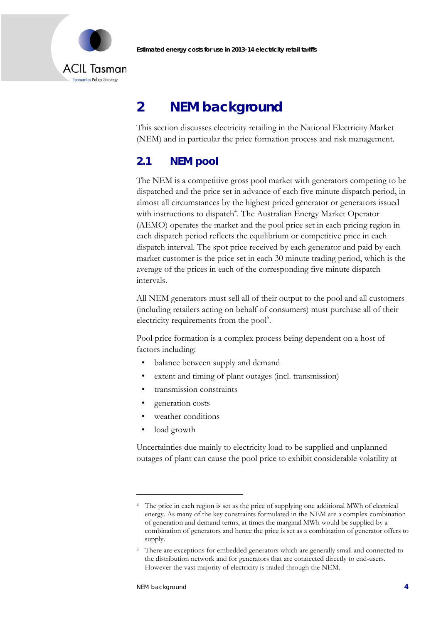



# **2 NEM background**

This section discusses electricity retailing in the National Electricity Market (NEM) and in particular the price formation process and risk management.

## **2.1 NEM pool**

The NEM is a competitive gross pool market with generators competing to be dispatched and the price set in advance of each five minute dispatch period, in almost all circumstances by the highest priced generator or generators issued with instructions to dispatch<sup>4</sup>. The Australian Energy Market Operator (AEMO) operates the market and the pool price set in each pricing region in each dispatch period reflects the equilibrium or competitive price in each dispatch interval. The spot price received by each generator and paid by each market customer is the price set in each 30 minute trading period, which is the average of the prices in each of the corresponding five minute dispatch intervals.

All NEM generators must sell all of their output to the pool and all customers (including retailers acting on behalf of consumers) must purchase all of their electricity requirements from the pool<sup>5</sup>.

Pool price formation is a complex process being dependent on a host of factors including:

- balance between supply and demand
- extent and timing of plant outages (incl. transmission)
- transmission constraints
- generation costs
- weather conditions
- load growth

Uncertainties due mainly to electricity load to be supplied and unplanned outages of plant can cause the pool price to exhibit considerable volatility at

-

<sup>4</sup> The price in each region is set as the price of supplying one additional MWh of electrical energy. As many of the key constraints formulated in the NEM are a complex combination of generation and demand terms, at times the marginal MWh would be supplied by a combination of generators and hence the price is set as a combination of generator offers to supply.

<sup>5</sup> There are exceptions for embedded generators which are generally small and connected to the distribution network and for generators that are connected directly to end-users. However the vast majority of electricity is traded through the NEM.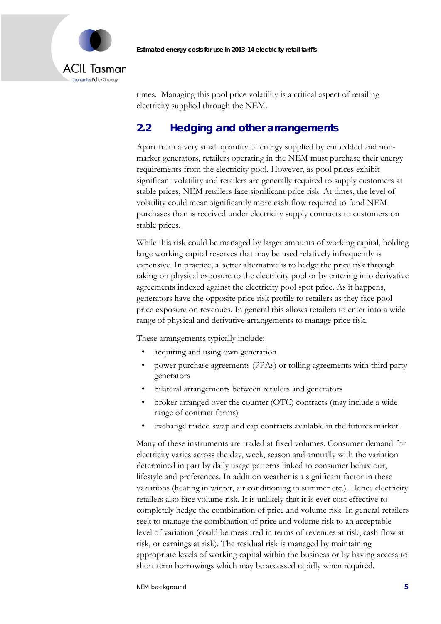

times. Managing this pool price volatility is a critical aspect of retailing electricity supplied through the NEM.

## **2.2 Hedging and other arrangements**

Apart from a very small quantity of energy supplied by embedded and nonmarket generators, retailers operating in the NEM must purchase their energy requirements from the electricity pool. However, as pool prices exhibit significant volatility and retailers are generally required to supply customers at stable prices, NEM retailers face significant price risk. At times, the level of volatility could mean significantly more cash flow required to fund NEM purchases than is received under electricity supply contracts to customers on stable prices.

While this risk could be managed by larger amounts of working capital, holding large working capital reserves that may be used relatively infrequently is expensive. In practice, a better alternative is to hedge the price risk through taking on physical exposure to the electricity pool or by entering into derivative agreements indexed against the electricity pool spot price. As it happens, generators have the opposite price risk profile to retailers as they face pool price exposure on revenues. In general this allows retailers to enter into a wide range of physical and derivative arrangements to manage price risk.

These arrangements typically include:

- acquiring and using own generation
- power purchase agreements (PPAs) or tolling agreements with third party generators
- bilateral arrangements between retailers and generators
- broker arranged over the counter (OTC) contracts (may include a wide range of contract forms)
- exchange traded swap and cap contracts available in the futures market.

Many of these instruments are traded at fixed volumes. Consumer demand for electricity varies across the day, week, season and annually with the variation determined in part by daily usage patterns linked to consumer behaviour, lifestyle and preferences. In addition weather is a significant factor in these variations (heating in winter, air conditioning in summer etc.). Hence electricity retailers also face volume risk. It is unlikely that it is ever cost effective to completely hedge the combination of price and volume risk. In general retailers seek to manage the combination of price and volume risk to an acceptable level of variation (could be measured in terms of revenues at risk, cash flow at risk, or earnings at risk). The residual risk is managed by maintaining appropriate levels of working capital within the business or by having access to short term borrowings which may be accessed rapidly when required.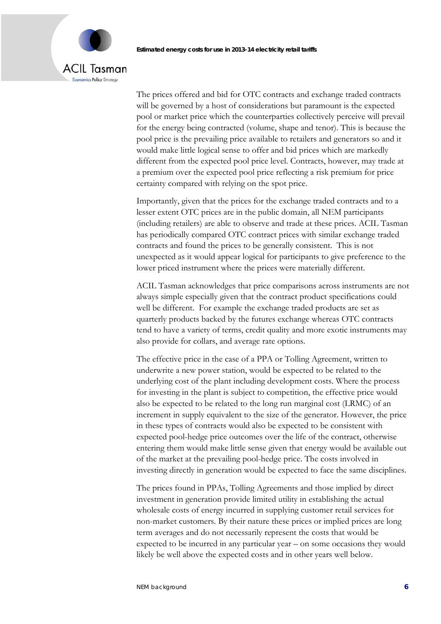## ACIL Tasman **Economics Policy Strategy**

The prices offered and bid for OTC contracts and exchange traded contracts will be governed by a host of considerations but paramount is the expected pool or market price which the counterparties collectively perceive will prevail for the energy being contracted (volume, shape and tenor). This is because the pool price is the prevailing price available to retailers and generators so and it would make little logical sense to offer and bid prices which are markedly different from the expected pool price level. Contracts, however, may trade at a premium over the expected pool price reflecting a risk premium for price certainty compared with relying on the spot price.

Importantly, given that the prices for the exchange traded contracts and to a lesser extent OTC prices are in the public domain, all NEM participants (including retailers) are able to observe and trade at these prices. ACIL Tasman has periodically compared OTC contract prices with similar exchange traded contracts and found the prices to be generally consistent. This is not unexpected as it would appear logical for participants to give preference to the lower priced instrument where the prices were materially different.

ACIL Tasman acknowledges that price comparisons across instruments are not always simple especially given that the contract product specifications could well be different. For example the exchange traded products are set as quarterly products backed by the futures exchange whereas OTC contracts tend to have a variety of terms, credit quality and more exotic instruments may also provide for collars, and average rate options.

The effective price in the case of a PPA or Tolling Agreement, written to underwrite a new power station, would be expected to be related to the underlying cost of the plant including development costs. Where the process for investing in the plant is subject to competition, the effective price would also be expected to be related to the long run marginal cost (LRMC) of an increment in supply equivalent to the size of the generator. However, the price in these types of contracts would also be expected to be consistent with expected pool-hedge price outcomes over the life of the contract, otherwise entering them would make little sense given that energy would be available out of the market at the prevailing pool-hedge price. The costs involved in investing directly in generation would be expected to face the same disciplines.

The prices found in PPAs, Tolling Agreements and those implied by direct investment in generation provide limited utility in establishing the actual wholesale costs of energy incurred in supplying customer retail services for non-market customers. By their nature these prices or implied prices are long term averages and do not necessarily represent the costs that would be expected to be incurred in any particular year – on some occasions they would likely be well above the expected costs and in other years well below.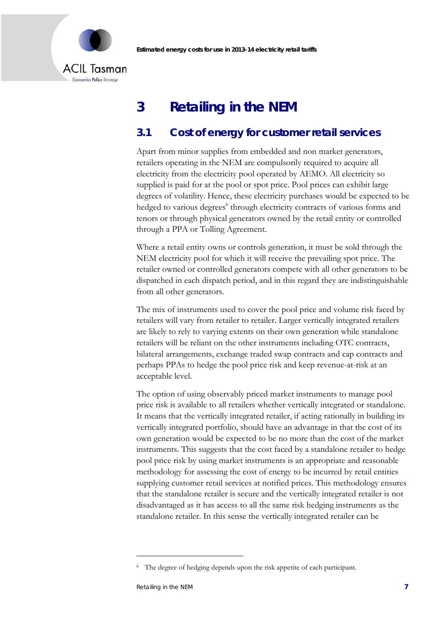

## **3 Retailing in the NEM**

## **3.1 Cost of energy for customer retail services**

Apart from minor supplies from embedded and non market generators, retailers operating in the NEM are compulsorily required to acquire all electricity from the electricity pool operated by AEMO. All electricity so supplied is paid for at the pool or spot price. Pool prices can exhibit large degrees of volatility. Hence, these electricity purchases would be expected to be hedged to various degrees<sup>6</sup> through electricity contracts of various forms and tenors or through physical generators owned by the retail entity or controlled through a PPA or Tolling Agreement.

Where a retail entity owns or controls generation, it must be sold through the NEM electricity pool for which it will receive the prevailing spot price. The retailer owned or controlled generators compete with all other generators to be dispatched in each dispatch period, and in this regard they are indistinguishable from all other generators.

The mix of instruments used to cover the pool price and volume risk faced by retailers will vary from retailer to retailer. Larger vertically integrated retailers are likely to rely to varying extents on their own generation while standalone retailers will be reliant on the other instruments including OTC contracts, bilateral arrangements, exchange traded swap contracts and cap contracts and perhaps PPAs to hedge the pool price risk and keep revenue-at-risk at an acceptable level.

The option of using observably priced market instruments to manage pool price risk is available to all retailers whether vertically integrated or standalone. It means that the vertically integrated retailer, if acting rationally in building its vertically integrated portfolio, should have an advantage in that the cost of its own generation would be expected to be no more than the cost of the market instruments. This suggests that the cost faced by a standalone retailer to hedge pool price risk by using market instruments is an appropriate and reasonable methodology for assessing the cost of energy to be incurred by retail entities supplying customer retail services at notified prices. This methodology ensures that the standalone retailer is secure and the vertically integrated retailer is not disadvantaged as it has access to all the same risk hedging instruments as the standalone retailer. In this sense the vertically integrated retailer can be

<u>.</u>

<sup>&</sup>lt;sup>6</sup> The degree of hedging depends upon the risk appetite of each participant.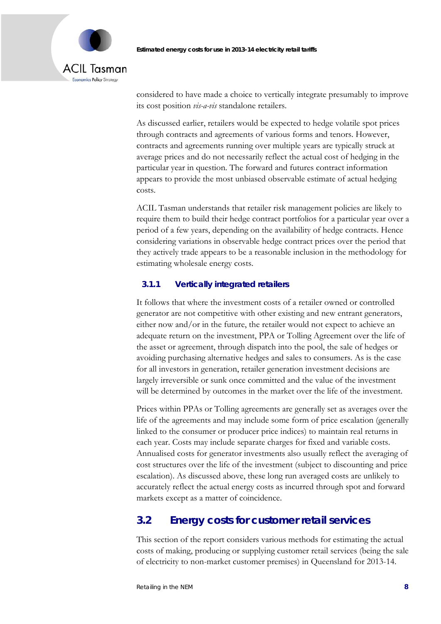

considered to have made a choice to vertically integrate presumably to improve its cost position *vis-a-vis* standalone retailers.

As discussed earlier, retailers would be expected to hedge volatile spot prices through contracts and agreements of various forms and tenors. However, contracts and agreements running over multiple years are typically struck at average prices and do not necessarily reflect the actual cost of hedging in the particular year in question. The forward and futures contract information appears to provide the most unbiased observable estimate of actual hedging costs.

ACIL Tasman understands that retailer risk management policies are likely to require them to build their hedge contract portfolios for a particular year over a period of a few years, depending on the availability of hedge contracts. Hence considering variations in observable hedge contract prices over the period that they actively trade appears to be a reasonable inclusion in the methodology for estimating wholesale energy costs.

### **3.1.1 Vertically integrated retailers**

It follows that where the investment costs of a retailer owned or controlled generator are not competitive with other existing and new entrant generators, either now and/or in the future, the retailer would not expect to achieve an adequate return on the investment, PPA or Tolling Agreement over the life of the asset or agreement, through dispatch into the pool, the sale of hedges or avoiding purchasing alternative hedges and sales to consumers. As is the case for all investors in generation, retailer generation investment decisions are largely irreversible or sunk once committed and the value of the investment will be determined by outcomes in the market over the life of the investment.

Prices within PPAs or Tolling agreements are generally set as averages over the life of the agreements and may include some form of price escalation (generally linked to the consumer or producer price indices) to maintain real returns in each year. Costs may include separate charges for fixed and variable costs. Annualised costs for generator investments also usually reflect the averaging of cost structures over the life of the investment (subject to discounting and price escalation). As discussed above, these long run averaged costs are unlikely to accurately reflect the actual energy costs as incurred through spot and forward markets except as a matter of coincidence.

## **3.2 Energy costs for customer retail services**

This section of the report considers various methods for estimating the actual costs of making, producing or supplying customer retail services (being the sale of electricity to non-market customer premises) in Queensland for 2013-14.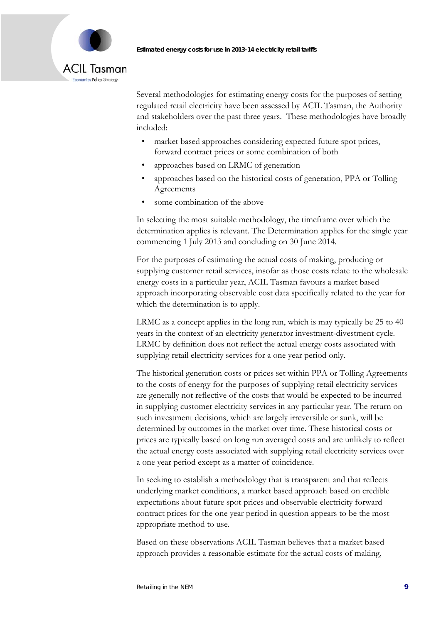

Several methodologies for estimating energy costs for the purposes of setting regulated retail electricity have been assessed by ACIL Tasman, the Authority and stakeholders over the past three years. These methodologies have broadly included:

- market based approaches considering expected future spot prices, forward contract prices or some combination of both
- approaches based on LRMC of generation
- approaches based on the historical costs of generation, PPA or Tolling Agreements
- some combination of the above

In selecting the most suitable methodology, the timeframe over which the determination applies is relevant. The Determination applies for the single year commencing 1 July 2013 and concluding on 30 June 2014.

For the purposes of estimating the actual costs of making, producing or supplying customer retail services, insofar as those costs relate to the wholesale energy costs in a particular year, ACIL Tasman favours a market based approach incorporating observable cost data specifically related to the year for which the determination is to apply.

LRMC as a concept applies in the long run, which is may typically be 25 to 40 years in the context of an electricity generator investment-divestment cycle. LRMC by definition does not reflect the actual energy costs associated with supplying retail electricity services for a one year period only.

The historical generation costs or prices set within PPA or Tolling Agreements to the costs of energy for the purposes of supplying retail electricity services are generally not reflective of the costs that would be expected to be incurred in supplying customer electricity services in any particular year. The return on such investment decisions, which are largely irreversible or sunk, will be determined by outcomes in the market over time. These historical costs or prices are typically based on long run averaged costs and are unlikely to reflect the actual energy costs associated with supplying retail electricity services over a one year period except as a matter of coincidence.

In seeking to establish a methodology that is transparent and that reflects underlying market conditions, a market based approach based on credible expectations about future spot prices and observable electricity forward contract prices for the one year period in question appears to be the most appropriate method to use.

Based on these observations ACIL Tasman believes that a market based approach provides a reasonable estimate for the actual costs of making,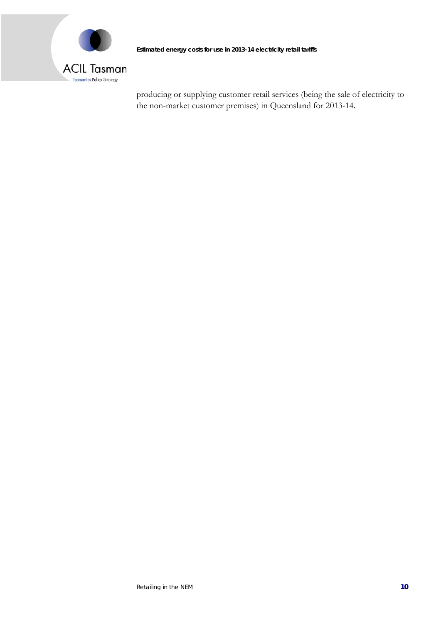

producing or supplying customer retail services (being the sale of electricity to the non-market customer premises) in Queensland for 2013-14.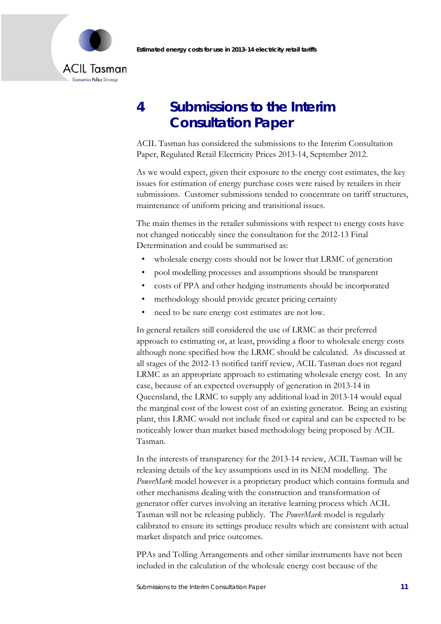

## **4 Submissions to the Interim Consultation Paper**

ACIL Tasman has considered the submissions to the Interim Consultation Paper, Regulated Retail Electricity Prices 2013-14, September 2012.

As we would expect, given their exposure to the energy cost estimates, the key issues for estimation of energy purchase costs were raised by retailers in their submissions. Customer submissions tended to concentrate on tariff structures, maintenance of uniform pricing and transitional issues.

The main themes in the retailer submissions with respect to energy costs have not changed noticeably since the consultation for the 2012-13 Final Determination and could be summarised as:

- wholesale energy costs should not be lower that LRMC of generation
- pool modelling processes and assumptions should be transparent
- costs of PPA and other hedging instruments should be incorporated
- methodology should provide greater pricing certainty
- need to be sure energy cost estimates are not low.

In general retailers still considered the use of LRMC as their preferred approach to estimating or, at least, providing a floor to wholesale energy costs although none specified how the LRMC should be calculated. As discussed at all stages of the 2012-13 notified tariff review, ACIL Tasman does not regard LRMC as an appropriate approach to estimating wholesale energy cost. In any case, because of an expected oversupply of generation in 2013-14 in Queensland, the LRMC to supply any additional load in 2013-14 would equal the marginal cost of the lowest cost of an existing generator. Being an existing plant, this LRMC would not include fixed or capital and can be expected to be noticeably lower than market based methodology being proposed by ACIL Tasman.

In the interests of transparency for the 2013-14 review, ACIL Tasman will be releasing details of the key assumptions used in its NEM modelling. The *PowerMark* model however is a proprietary product which contains formula and other mechanisms dealing with the construction and transformation of generator offer curves involving an iterative learning process which ACIL Tasman will not be releasing publicly. The *PowerMark* model is regularly calibrated to ensure its settings produce results which are consistent with actual market dispatch and price outcomes.

PPAs and Tolling Arrangements and other similar instruments have not been included in the calculation of the wholesale energy cost because of the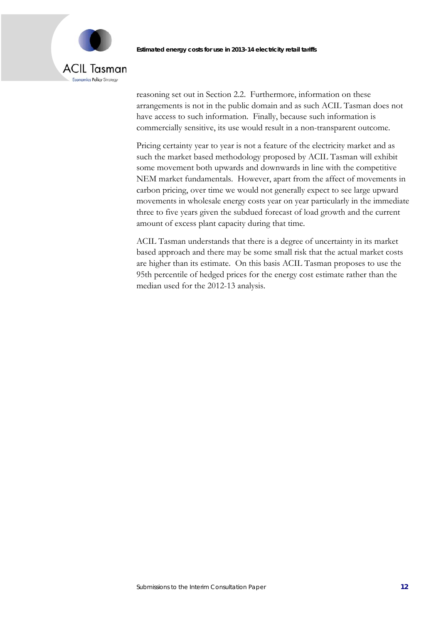

reasoning set out in Section 2.2. Furthermore, information on these arrangements is not in the public domain and as such ACIL Tasman does not have access to such information. Finally, because such information is commercially sensitive, its use would result in a non-transparent outcome.

Pricing certainty year to year is not a feature of the electricity market and as such the market based methodology proposed by ACIL Tasman will exhibit some movement both upwards and downwards in line with the competitive NEM market fundamentals. However, apart from the affect of movements in carbon pricing, over time we would not generally expect to see large upward movements in wholesale energy costs year on year particularly in the immediate three to five years given the subdued forecast of load growth and the current amount of excess plant capacity during that time.

ACIL Tasman understands that there is a degree of uncertainty in its market based approach and there may be some small risk that the actual market costs are higher than its estimate. On this basis ACIL Tasman proposes to use the 95th percentile of hedged prices for the energy cost estimate rather than the median used for the 2012-13 analysis.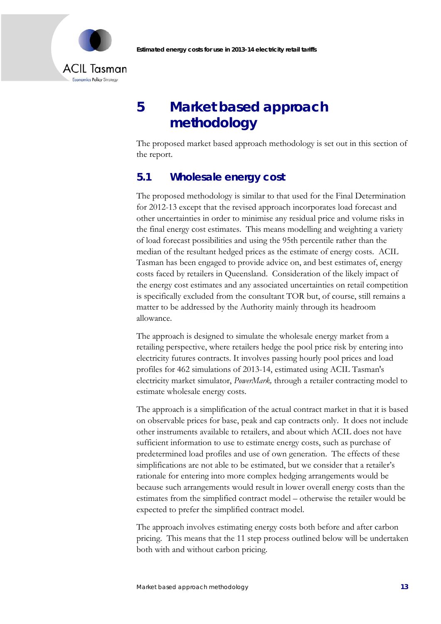

# **5 Market based approach methodology**

The proposed market based approach methodology is set out in this section of the report.

### **5.1 Wholesale energy cost**

The proposed methodology is similar to that used for the Final Determination for 2012-13 except that the revised approach incorporates load forecast and other uncertainties in order to minimise any residual price and volume risks in the final energy cost estimates. This means modelling and weighting a variety of load forecast possibilities and using the 95th percentile rather than the median of the resultant hedged prices as the estimate of energy costs. ACIL Tasman has been engaged to provide advice on, and best estimates of, energy costs faced by retailers in Queensland. Consideration of the likely impact of the energy cost estimates and any associated uncertainties on retail competition is specifically excluded from the consultant TOR but, of course, still remains a matter to be addressed by the Authority mainly through its headroom allowance.

The approach is designed to simulate the wholesale energy market from a retailing perspective, where retailers hedge the pool price risk by entering into electricity futures contracts. It involves passing hourly pool prices and load profiles for 462 simulations of 2013-14, estimated using ACIL Tasman's electricity market simulator, *PowerMark,* through a retailer contracting model to estimate wholesale energy costs.

The approach is a simplification of the actual contract market in that it is based on observable prices for base, peak and cap contracts only. It does not include other instruments available to retailers, and about which ACIL does not have sufficient information to use to estimate energy costs, such as purchase of predetermined load profiles and use of own generation. The effects of these simplifications are not able to be estimated, but we consider that a retailer's rationale for entering into more complex hedging arrangements would be because such arrangements would result in lower overall energy costs than the estimates from the simplified contract model – otherwise the retailer would be expected to prefer the simplified contract model.

The approach involves estimating energy costs both before and after carbon pricing. This means that the 11 step process outlined below will be undertaken both with and without carbon pricing.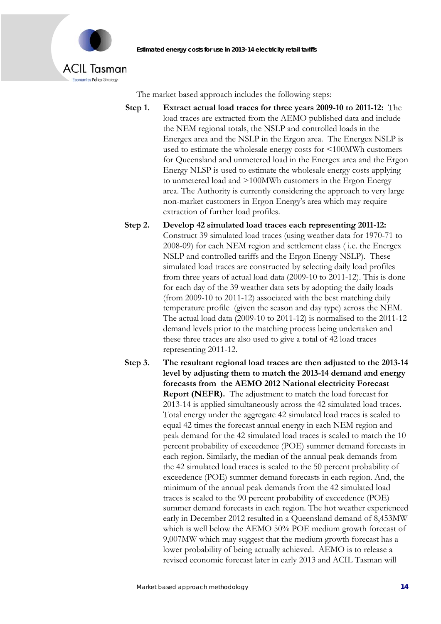

The market based approach includes the following steps:

- **Step 1. Extract actual load traces for three years 2009-10 to 2011-12:** The load traces are extracted from the AEMO published data and include the NEM regional totals, the NSLP and controlled loads in the Energex area and the NSLP in the Ergon area. The Energex NSLP is used to estimate the wholesale energy costs for <100MWh customers for Queensland and unmetered load in the Energex area and the Ergon Energy NLSP is used to estimate the wholesale energy costs applying to unmetered load and >100MWh customers in the Ergon Energy area. The Authority is currently considering the approach to very large non-market customers in Ergon Energy's area which may require extraction of further load profiles.
- **Step 2. Develop 42 simulated load traces each representing 2011-12:**  Construct 39 simulated load traces (using weather data for 1970-71 to 2008-09) for each NEM region and settlement class ( i.e. the Energex NSLP and controlled tariffs and the Ergon Energy NSLP). These simulated load traces are constructed by selecting daily load profiles from three years of actual load data (2009-10 to 2011-12). This is done for each day of the 39 weather data sets by adopting the daily loads (from 2009-10 to 2011-12) associated with the best matching daily temperature profile (given the season and day type) across the NEM. The actual load data (2009-10 to 2011-12) is normalised to the 2011-12 demand levels prior to the matching process being undertaken and these three traces are also used to give a total of 42 load traces representing 2011-12.

**Step 3. The resultant regional load traces are then adjusted to the 2013-14 level by adjusting them to match the 2013-14 demand and energy forecasts from the AEMO 2012 National electricity Forecast Report (NEFR).** The adjustment to match the load forecast for 2013-14 is applied simultaneously across the 42 simulated load traces. Total energy under the aggregate 42 simulated load traces is scaled to equal 42 times the forecast annual energy in each NEM region and peak demand for the 42 simulated load traces is scaled to match the 10 percent probability of exceedence (POE) summer demand forecasts in each region. Similarly, the median of the annual peak demands from the 42 simulated load traces is scaled to the 50 percent probability of exceedence (POE) summer demand forecasts in each region. And, the minimum of the annual peak demands from the 42 simulated load traces is scaled to the 90 percent probability of exceedence (POE) summer demand forecasts in each region. The hot weather experienced early in December 2012 resulted in a Queensland demand of 8,453MW which is well below the AEMO 50% POE medium growth forecast of 9,007MW which may suggest that the medium growth forecast has a lower probability of being actually achieved. AEMO is to release a revised economic forecast later in early 2013 and ACIL Tasman will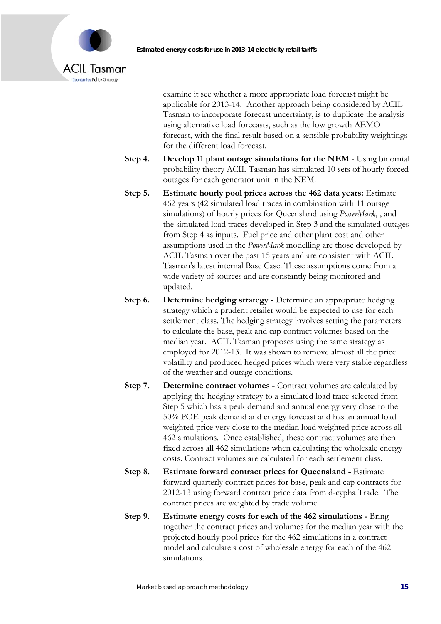



examine it see whether a more appropriate load forecast might be applicable for 2013-14. Another approach being considered by ACIL Tasman to incorporate forecast uncertainty, is to duplicate the analysis using alternative load forecasts, such as the low growth AEMO forecast, with the final result based on a sensible probability weightings for the different load forecast.

- **Step 4. Develop 11 plant outage simulations for the NEM**  Using binomial probability theory ACIL Tasman has simulated 10 sets of hourly forced outages for each generator unit in the NEM.
- **Step 5. Estimate hourly pool prices across the 462 data years:** Estimate 462 years (42 simulated load traces in combination with 11 outage simulations) of hourly prices for Queensland using *PowerMark*, , and the simulated load traces developed in Step 3 and the simulated outages from Step 4 as inputs. Fuel price and other plant cost and other assumptions used in the *PowerMark* modelling are those developed by ACIL Tasman over the past 15 years and are consistent with ACIL Tasman's latest internal Base Case. These assumptions come from a wide variety of sources and are constantly being monitored and updated.
- **Step 6. Determine hedging strategy Determine an appropriate hedging** strategy which a prudent retailer would be expected to use for each settlement class. The hedging strategy involves setting the parameters to calculate the base, peak and cap contract volumes based on the median year. ACIL Tasman proposes using the same strategy as employed for 2012-13. It was shown to remove almost all the price volatility and produced hedged prices which were very stable regardless of the weather and outage conditions.
- **Step 7. Determine contract volumes Contract volumes are calculated by** applying the hedging strategy to a simulated load trace selected from Step 5 which has a peak demand and annual energy very close to the 50% POE peak demand and energy forecast and has an annual load weighted price very close to the median load weighted price across all 462 simulations. Once established, these contract volumes are then fixed across all 462 simulations when calculating the wholesale energy costs. Contract volumes are calculated for each settlement class.
- **Step 8. Estimate forward contract prices for Queensland** Estimate forward quarterly contract prices for base, peak and cap contracts for 2012-13 using forward contract price data from d-cypha Trade. The contract prices are weighted by trade volume.
- **Step 9. Estimate energy costs for each of the 462 simulations** Bring together the contract prices and volumes for the median year with the projected hourly pool prices for the 462 simulations in a contract model and calculate a cost of wholesale energy for each of the 462 simulations.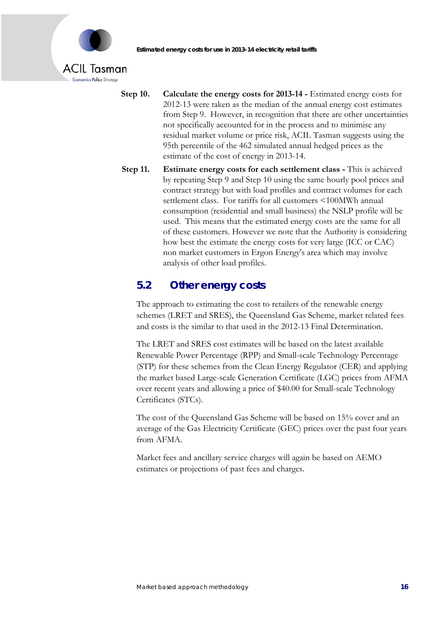

Economics Policy Strategy

- **Step 10. Calculate the energy costs for 2013-14** Estimated energy costs for 2012-13 were taken as the median of the annual energy cost estimates from Step 9. However, in recognition that there are other uncertainties not specifically accounted for in the process and to minimise any residual market volume or price risk, ACIL Tasman suggests using the 95th percentile of the 462 simulated annual hedged prices as the estimate of the cost of energy in 2013-14.
- **Step 11. Estimate energy costs for each settlement class This is achieved** by repeating Step 9 and Step 10 using the same hourly pool prices and contract strategy but with load profiles and contract volumes for each settlement class. For tariffs for all customers <100MWh annual consumption (residential and small business) the NSLP profile will be used. This means that the estimated energy costs are the same for all of these customers. However we note that the Authority is considering how best the estimate the energy costs for very large (ICC or CAC) non market customers in Ergon Energy's area which may involve analysis of other load profiles.

## **5.2 Other energy costs**

The approach to estimating the cost to retailers of the renewable energy schemes (LRET and SRES), the Queensland Gas Scheme, market related fees and costs is the similar to that used in the 2012-13 Final Determination.

The LRET and SRES cost estimates will be based on the latest available Renewable Power Percentage (RPP) and Small-scale Technology Percentage (STP) for these schemes from the Clean Energy Regulator (CER) and applying the market based Large-scale Generation Certificate (LGC) prices from AFMA over recent years and allowing a price of \$40.00 for Small-scale Technology Certificates (STCs).

The cost of the Queensland Gas Scheme will be based on 15% cover and an average of the Gas Electricity Certificate (GEC) prices over the past four years from AFMA.

Market fees and ancillary service charges will again be based on AEMO estimates or projections of past fees and charges.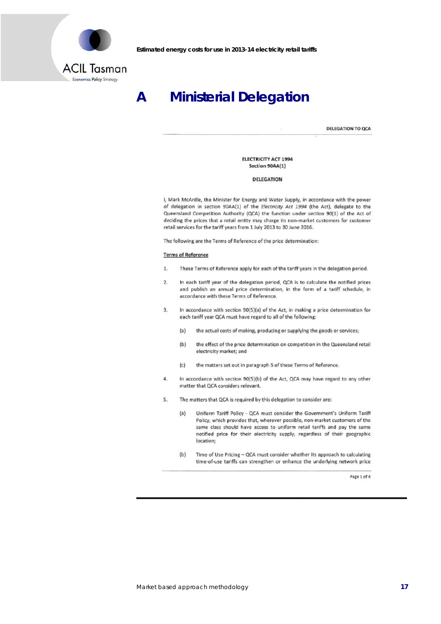

Economics Policy Strategy

**Estimated energy costs for use in 2013-14 electricity retail tariffs** 

# **A Ministerial Delegation**

DELEGATION TO OCA

ELECTRICITY ACT 1994 Section 90AA(1)

#### DELEGATION

I, Mark McArdle, the Minister for Energy and Water Supply, in accordance with the power of delegation in section 90AA(l) of the *Electricity* Act *1994* (the Act), delegate to the Queensland Competition Authority (QCA) the function under section 90(1) of the Act of deciding the prices that a retail entity may charge its non-market customers for customer retail services for the tariff years from 1 July 2013 to 30 June 2016.

The following are the Terms of Reference of the price determination:

#### Terms of Reference

- 1. These Terms of Reference apply for each of the tariff years in the delegation period.
- 2. In each tariff year of the delegation period, QCA is to calculate the notified prices and publish an annual price determination, In the form of a tariff schedule, in accordance with these Terms of Reference.
- 3. In accordance with section 90(5)(a) of the Act, In making a price determination for each tariff year QCA must have regard to all of the following:
	- (a) the actual costs of making, producing or supplying the goods or services;
	- (b) the effect of the price determination on competition in the Queensland retail electricity market; and
	- (c) the matters set out in paragraph 5 of these Terms of Reference.
- 4. In accordance with section 90(5)(b) of the Act, QCA may have regard to any other matter that QCA considers relevant.
- 5. The matters that QCA is required by this delegation to consider are:
	- (a) Uniform Tariff Policy QCA must consider the Government's Uniform Tariff Policy, which provides that, wherever possible, non-market customers of the same class should have access to uniform retail tariffs and pay the same notified price for their electricity supply, regardless of their geographic location;
	- (b) Time of Use Pricing QCA must consider whether its approach to calculating time-of-use tariffs can strengthen or enhance the underlying network price

Page 1 of 4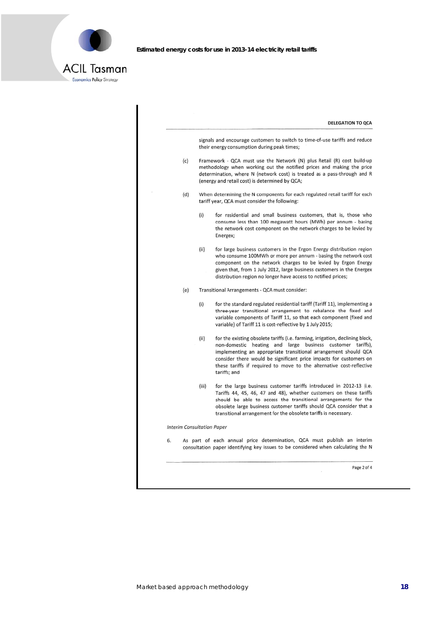

| <b>DELEGATION TO QCA</b>                                                                                                                                                                                                                                                                                                                                                             |                                                                                                                                                                                                                             |  |  |
|--------------------------------------------------------------------------------------------------------------------------------------------------------------------------------------------------------------------------------------------------------------------------------------------------------------------------------------------------------------------------------------|-----------------------------------------------------------------------------------------------------------------------------------------------------------------------------------------------------------------------------|--|--|
| their energy consumption during peak times;                                                                                                                                                                                                                                                                                                                                          | signals and encourage customers to switch to time-of-use tariffs and reduce                                                                                                                                                 |  |  |
| (c)<br>(energy and retail cost) is determined by QCA;                                                                                                                                                                                                                                                                                                                                | Framework - QCA must use the Network (N) plus Retail (R) cost build-up<br>methodology when working out the notified prices and making the price<br>determination, where N (network cost) is treated as a pass-through and R |  |  |
| When determining the N components for each regulated retail tariff for each<br>(d)<br>tariff year, QCA must consider the following:                                                                                                                                                                                                                                                  |                                                                                                                                                                                                                             |  |  |
| (i)<br>for residential and small business customers, that is, those who<br>consume less than 100 megawatt hours (MWh) per annum - basing<br>the network cost component on the network charges to be levied by<br>Energex;                                                                                                                                                            |                                                                                                                                                                                                                             |  |  |
| (ii)<br>for large business customers in the Ergon Energy distribution region<br>who consume 100MWh or more per annum - basing the network cost<br>component on the network charges to be levied by Ergon Energy<br>given that, from 1 July 2012, large business customers in the Energex<br>distribution region no longer have access to notified prices;                            |                                                                                                                                                                                                                             |  |  |
| Transitional Arrangements - QCA must consider:<br>(e)                                                                                                                                                                                                                                                                                                                                |                                                                                                                                                                                                                             |  |  |
| for the standard regulated residential tariff (Tariff 11), implementing a<br>(i)<br>three-year transitional arrangement to rebalance the fixed and<br>variable components of Tariff 11, so that each component (fixed and<br>variable) of Tariff 11 is cost-reflective by 1 July 2015;                                                                                               |                                                                                                                                                                                                                             |  |  |
| (ii)<br>for the existing obsolete tariffs (i.e. farming, irrigation, declining block,<br>non-domestic heating and large business customer tariffs),<br>implementing an appropriate transitional arrangement should QCA<br>consider there would be significant price impacts for customers on<br>these tariffs if required to move to the alternative cost-reflective<br>tariffs; and |                                                                                                                                                                                                                             |  |  |
| for the large business customer tariffs introduced in 2012-13 (i.e.<br>(iii)<br>Tariffs 44, 45, 46, 47 and 48), whether customers on these tariffs<br>should be able to access the transitional arrangements for the<br>obsolete large business customer tariffs should QCA consider that a<br>transitional arrangement for the obsolete tariffs is necessary.                       |                                                                                                                                                                                                                             |  |  |
| <b>Interim Consultation Paper</b>                                                                                                                                                                                                                                                                                                                                                    |                                                                                                                                                                                                                             |  |  |
| As part of each annual price determination, QCA must publish an interim<br>6.<br>consultation paper identifying key issues to be considered when calculating the N                                                                                                                                                                                                                   |                                                                                                                                                                                                                             |  |  |
|                                                                                                                                                                                                                                                                                                                                                                                      | Page 2 of 4                                                                                                                                                                                                                 |  |  |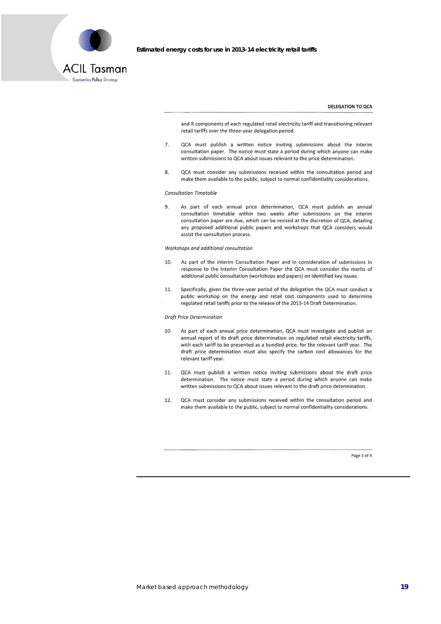

#### **DELEGATION TO QCA**

and R components of each regulated retail electricity tariff and transitioning relevant retail tariffs over the three-year delegation period.

- $\overline{7}$ . QCA must publish a written notice inviting submissions about the interim consultation paper. The notice must state a period during which anyone can make written submissions to QCA about issues relevant to the price determination.
- QCA must consider any submissions received within the consultation period and  $\mathbf{R}$ make them available to the public, subject to normal confidentiality considerations.

#### **Consultation Timetable**

As part of each annual price determination, QCA must publish an annual  $\mathbf{q}$ consultation timetable within two weeks after submissions on the interim consultation paper are due, which can be revised at the discretion of QCA, detailing any proposed additional public papers and workshops that QCA considers would assist the consultation process.

#### Workshops and additional consultation

- 10. As part of the Interim Consultation Paper and in consideration of submissions in response to the Interim Consultation Paper the QCA must consider the merits of additional public consultation (workshops and papers) on identified key issues.
- Specifically, given the three-year period of the delegation the QCA must conduct a 11. public workshop on the energy and retail cost components used to determine regulated retail tariffs prior to the release of the 2013-14 Draft Determination.

#### **Draft Price Determination**

- As part of each annual price determination, QCA must investigate and publish an  $10.$ annual report of its draft price determination on regulated retail electricity tariffs, with each tariff to be presented as a bundled price, for the relevant tariff year. The draft price determination must also specify the carbon cost allowances for the relevant tariff year.
- QCA must publish a written notice inviting submissions about the draft price 11. determination. The notice must state a period during which anyone can make written submissions to QCA about issues relevant to the draft price determination.
- $12.$ QCA must consider any submissions received within the consultation period and make them available to the public, subject to normal confidentiality considerations.

Page 3 of 4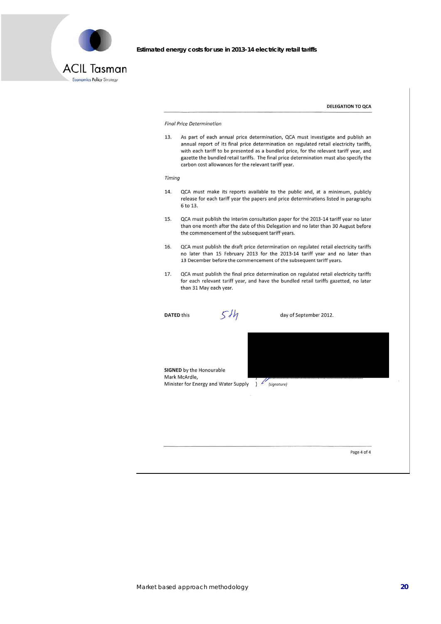

**DELEGATION TO OCA** 

#### **Final Price Determination**

 $13.$ As part of each annual price determination, QCA must investigate and publish an annual report of its final price determination on regulated retail electricity tariffs, with each tariff to be presented as a bundled price, for the relevant tariff year, and gazette the bundled retail tariffs. The final price determination must also specify the carbon cost allowances for the relevant tariff year.

#### Timina

- 14. QCA must make its reports available to the public and, at a minimum, publicly release for each tariff year the papers and price determinations listed in paragraphs 6 to 13.
- QCA must publish the interim consultation paper for the 2013-14 tariff year no later 15. than one month after the date of this Delegation and no later than 30 August before the commencement of the subsequent tariff years.
- QCA must publish the draft price determination on regulated retail electricity tariffs 16 no later than 15 February 2013 for the 2013-14 tariff year and no later than 13 December before the commencement of the subsequent tariff years.
- QCA must publish the final price determination on regulated retail electricity tariffs 17. for each relevant tariff year, and have the bundled retail tariffs gazetted, no later than 31 May each year.

**DATED this** 

 $51h$ 

day of September 2012.

SIGNED by the Honourable Mark McArdle, Minister for Energy and Water Supply ) (signature)

Page 4 of 4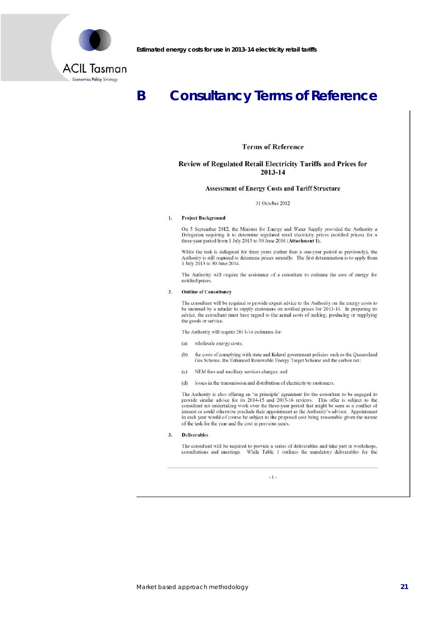

### **Consultancy Terms of Reference** B

### **Terms of Reference**

### Review of Regulated Retail Electricity Tariffs and Prices for 2013-14

#### **Assessment of Energy Costs and Tariff Structure**

#### 31 October 2012

#### $\mathbf{L}$ **Project Background**

On 5 September 2012, the Minister for Energy and Water Supply provided the Authority a Delegation requiring it to determine regulated retail electricity prices (notified prices) for a three-year period from 1 July 2013 to 30 June 2016 (Attachment 1).

While the task is delegated for three years (rather than a one-year period as previously), the Authority is still required to determine prices annually. The first determination is to apply from 1 July 2013 to 30 June 2014.

The Authority will require the assistance of a consultant to estimate the cost of energy for notified prices.

#### **Outline of Consultancy**  $\overline{2}$ .

The consultant will be required to provide expert advice to the Authority on the energy costs to be incurred by a retailer to supply customers on notified prices for 2013-14. In preparing its advice, the consultant must have regard to the actual costs of making, producing or supplying the goods or service.

The Authority will require 2013-14 estimates for:

- $(a)$ wholesale energy costs;
- the costs of complying with state and federal government policies such as the Queensland Gas Scheme, the Enhanced Renewable Energy Target Scheme and the carbon tax;  $(b)$
- (c) NEM fees and ancillary services charges; and
- (d) losses in the transmission and distribution of electricity to customers.

The Authority is also offering an 'in principle' agreement for the consultant to be engaged to provide similar advice for its 2014-15 and 2015-16 reviews. This offer is subject to the consultant not undertaking work over the three-year period that might be seen as a conflict of interest or could otherwise preclude their appointment as the Authority's advisor. Appointment in each year would of course be subject to the proposed cost being reasonable given the nature of the task for the year and the cost in previous years.

 $3.$ **Deliverables** 

The consultant will be required to provide a series of deliverables and take part in workshops, consultations and meetings. While Table 1 outlines the mandatory deliverables for the

 $-1-$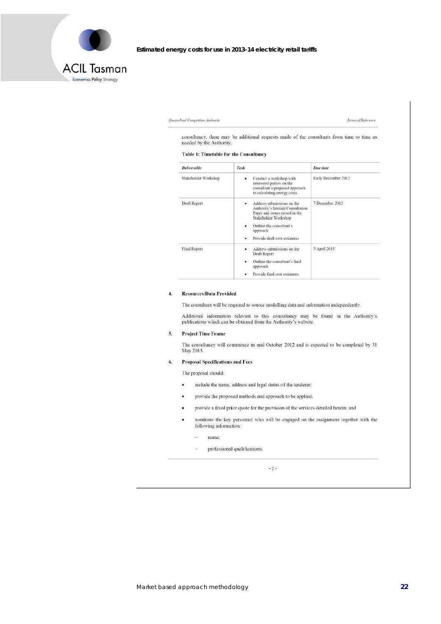

```
Queensland Competition Authority
```
Terms of Reference

consultancy, there may be additional requests made of the consultants from time to time as needed by the Authority.

#### Table 1: Timetable for the Consultancy

| <b>Deliverable</b>   | Task                                                                                                                                                                                             | Due date            |
|----------------------|--------------------------------------------------------------------------------------------------------------------------------------------------------------------------------------------------|---------------------|
| Stakeholder Workshop | Conduct a workshop with<br>interested parties on the<br>consultant's proposed approach<br>to calculating energy costs                                                                            | Early December 2012 |
| Draft Report         | Address submissions on the<br>Authority's Interim Consultation<br>Paper and issues raised in the<br>Stakeholder Workshop<br>Outline the consultant's<br>approach<br>Provide draft cost estimates | 7 December 2012     |
| Final Report         | Address submissions on the<br>Draft Report<br>Outline the consultant's final<br>approach<br>Provide final cost estimates<br>٠                                                                    | 5 April 2013        |

#### $\overline{4}$ . **Resources/Data Provided**

The consultant will be required to source modelling data and information independently.

Additional information relevant to this consultancy may be found in the Authority's publications which can be obtained from the Authority's website.

#### **Project Time Frame** 5.

The consultancy will commence in mid October 2012 and is expected to be completed by 31 May 2013.

#### 6. **Proposal Specifications and Fees**

The proposal should:

- $\ddot{\phantom{0}}$ include the name, address and legal status of the tenderer;
- provide the proposed methods and approach to be applied;  $\bullet$
- . provide a fixed price quote for the provision of the services detailed herein; and
- nominate the key personnel who will be engaged on the assignment together with the following information:
	- name:  $\omega$
	- professional qualifications; ÷.

 $-2-$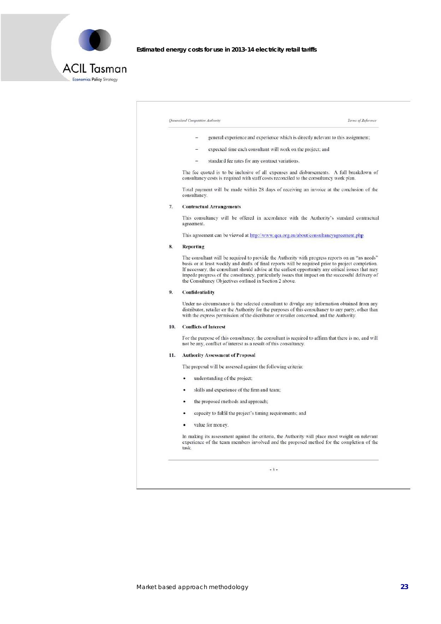

Economics Policy Strategy

Estimated energy costs for use in 2013-14 electricity retail tariffs

### Queensland Competition Authority Terms of Reference general experience and experience which is directly relevant to this assignment;  $\bar{a}$ expected time each consultant will work on the project; and standard fee rates for any contract variations. The fee quoted is to be inclusive of all expenses and disbursements. A full breakdown of consultancy costs is required with staff costs reconciled to the consultancy work plan. Total payment will be made within 28 days of receiving an invoice at the conclusion of the consultancy. **Contractual Arrangements** 7. This consultancy will be offered in accordance with the Authority's standard contractual agreement This agreement can be viewed at http://www.qca.org.au/about/consultancyagreement.php 8. Reporting The consultant will be required to provide the Authority with progress reports on an "as needs" The consultant win be required to provide the radiunful progress reports on an as needs<br>In necessary, the consultant should drafts of final reports will be required prior to project completion.<br>If necessary, the consultant  $9.$ Confidentiality Under no circumstance is the selected consultant to divulge any information obtained from any distributor, retailer or the Authority for the purposes of this consultancy to any party, other than with the express permission of the distributor or retailer concerned, and the Authority. 10. Conflicts of Interest For the purpose of this consultancy, the consultant is required to affirm that there is no, and will not be any, conflict of interest as a result of this consultancy. 11. Authority Assessment of Proposal The proposal will be assessed against the following criteria: understanding of the project;  $\bullet$ skills and experience of the firm and team;  $\blacksquare$ the proposed methods and approach;  $\bullet$ capacity to fulfil the project's timing requirements; and value for money.  $\bullet$ In making its assessment against the criteria, the Authority will place most weight on relevant experience of the team members involved and the proposed method for the completion of the task

 $-3-$